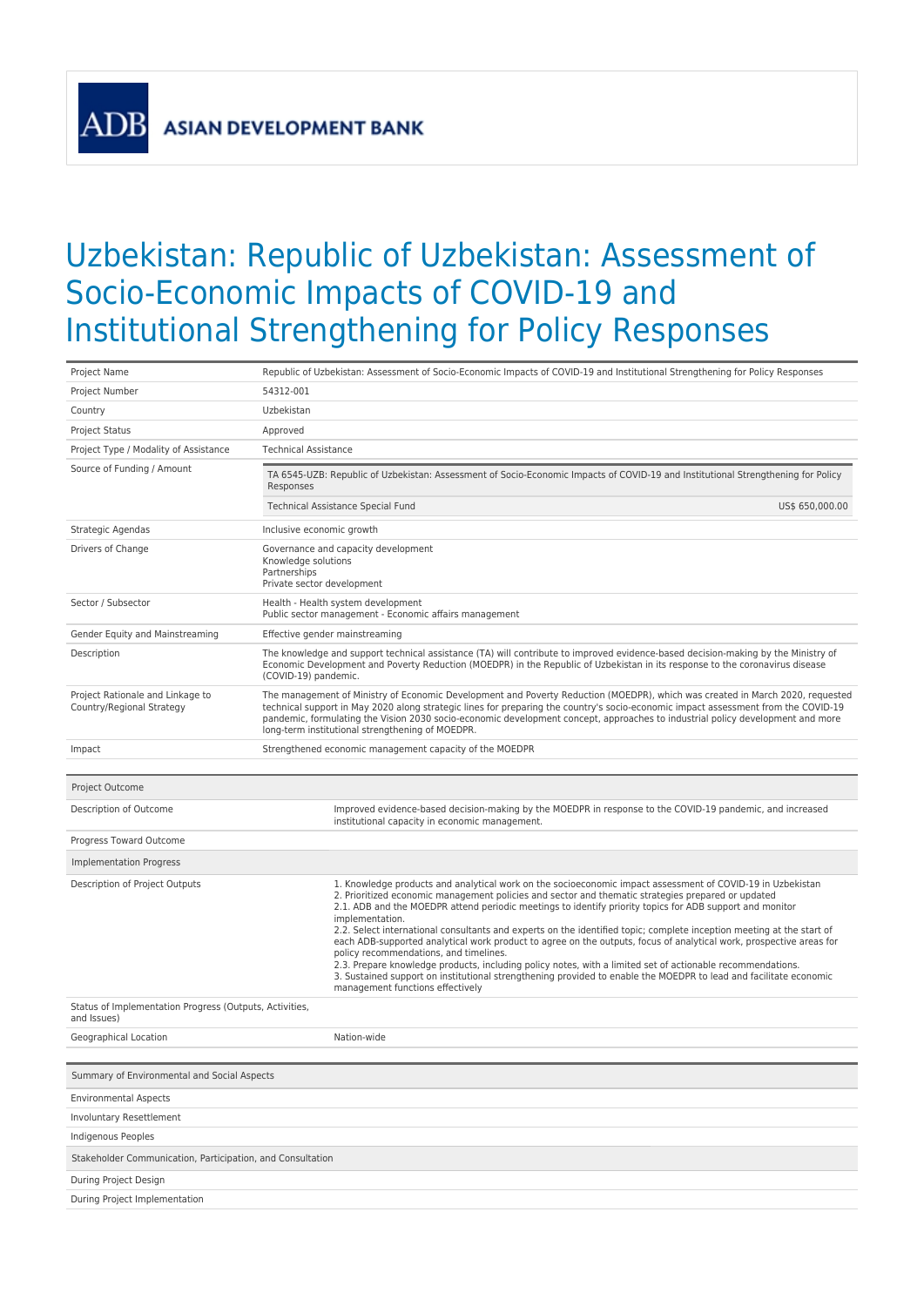**ADE** 

## Uzbekistan: Republic of Uzbekistan: Assessment of Socio-Economic Impacts of COVID-19 and Institutional Strengthening for Policy Responses

| Project Name                                                           | Republic of Uzbekistan: Assessment of Socio-Economic Impacts of COVID-19 and Institutional Strengthening for Policy Responses                                                                                                                                                                                                                                                                                                                                                                                                                                                                                                                                                                                                                                                                                                                                                                                    |  |  |  |  |  |
|------------------------------------------------------------------------|------------------------------------------------------------------------------------------------------------------------------------------------------------------------------------------------------------------------------------------------------------------------------------------------------------------------------------------------------------------------------------------------------------------------------------------------------------------------------------------------------------------------------------------------------------------------------------------------------------------------------------------------------------------------------------------------------------------------------------------------------------------------------------------------------------------------------------------------------------------------------------------------------------------|--|--|--|--|--|
| Project Number                                                         | 54312-001                                                                                                                                                                                                                                                                                                                                                                                                                                                                                                                                                                                                                                                                                                                                                                                                                                                                                                        |  |  |  |  |  |
| Country                                                                | Uzbekistan                                                                                                                                                                                                                                                                                                                                                                                                                                                                                                                                                                                                                                                                                                                                                                                                                                                                                                       |  |  |  |  |  |
| <b>Project Status</b>                                                  | Approved                                                                                                                                                                                                                                                                                                                                                                                                                                                                                                                                                                                                                                                                                                                                                                                                                                                                                                         |  |  |  |  |  |
| Project Type / Modality of Assistance                                  | <b>Technical Assistance</b>                                                                                                                                                                                                                                                                                                                                                                                                                                                                                                                                                                                                                                                                                                                                                                                                                                                                                      |  |  |  |  |  |
| Source of Funding / Amount                                             | TA 6545-UZB: Republic of Uzbekistan: Assessment of Socio-Economic Impacts of COVID-19 and Institutional Strengthening for Policy<br>Responses                                                                                                                                                                                                                                                                                                                                                                                                                                                                                                                                                                                                                                                                                                                                                                    |  |  |  |  |  |
|                                                                        | Technical Assistance Special Fund<br>US\$ 650,000.00                                                                                                                                                                                                                                                                                                                                                                                                                                                                                                                                                                                                                                                                                                                                                                                                                                                             |  |  |  |  |  |
| Strategic Agendas                                                      | Inclusive economic growth                                                                                                                                                                                                                                                                                                                                                                                                                                                                                                                                                                                                                                                                                                                                                                                                                                                                                        |  |  |  |  |  |
| Drivers of Change                                                      | Governance and capacity development<br>Knowledge solutions<br>Partnerships<br>Private sector development                                                                                                                                                                                                                                                                                                                                                                                                                                                                                                                                                                                                                                                                                                                                                                                                         |  |  |  |  |  |
| Sector / Subsector                                                     | Health - Health system development<br>Public sector management - Economic affairs management                                                                                                                                                                                                                                                                                                                                                                                                                                                                                                                                                                                                                                                                                                                                                                                                                     |  |  |  |  |  |
| Gender Equity and Mainstreaming                                        | Effective gender mainstreaming                                                                                                                                                                                                                                                                                                                                                                                                                                                                                                                                                                                                                                                                                                                                                                                                                                                                                   |  |  |  |  |  |
| Description                                                            | The knowledge and support technical assistance (TA) will contribute to improved evidence-based decision-making by the Ministry of<br>Economic Development and Poverty Reduction (MOEDPR) in the Republic of Uzbekistan in its response to the coronavirus disease<br>(COVID-19) pandemic.                                                                                                                                                                                                                                                                                                                                                                                                                                                                                                                                                                                                                        |  |  |  |  |  |
| Project Rationale and Linkage to<br>Country/Regional Strategy          | The management of Ministry of Economic Development and Poverty Reduction (MOEDPR), which was created in March 2020, requested<br>technical support in May 2020 along strategic lines for preparing the country's socio-economic impact assessment from the COVID-19<br>pandemic, formulating the Vision 2030 socio-economic development concept, approaches to industrial policy development and more<br>long-term institutional strengthening of MOEDPR.                                                                                                                                                                                                                                                                                                                                                                                                                                                        |  |  |  |  |  |
| Impact                                                                 | Strengthened economic management capacity of the MOEDPR                                                                                                                                                                                                                                                                                                                                                                                                                                                                                                                                                                                                                                                                                                                                                                                                                                                          |  |  |  |  |  |
|                                                                        |                                                                                                                                                                                                                                                                                                                                                                                                                                                                                                                                                                                                                                                                                                                                                                                                                                                                                                                  |  |  |  |  |  |
| Project Outcome                                                        |                                                                                                                                                                                                                                                                                                                                                                                                                                                                                                                                                                                                                                                                                                                                                                                                                                                                                                                  |  |  |  |  |  |
| Description of Outcome                                                 | Improved evidence-based decision-making by the MOEDPR in response to the COVID-19 pandemic, and increased<br>institutional capacity in economic management.                                                                                                                                                                                                                                                                                                                                                                                                                                                                                                                                                                                                                                                                                                                                                      |  |  |  |  |  |
| Progress Toward Outcome                                                |                                                                                                                                                                                                                                                                                                                                                                                                                                                                                                                                                                                                                                                                                                                                                                                                                                                                                                                  |  |  |  |  |  |
| Implementation Progress                                                |                                                                                                                                                                                                                                                                                                                                                                                                                                                                                                                                                                                                                                                                                                                                                                                                                                                                                                                  |  |  |  |  |  |
| Description of Project Outputs                                         | 1. Knowledge products and analytical work on the socioeconomic impact assessment of COVID-19 in Uzbekistan<br>2. Prioritized economic management policies and sector and thematic strategies prepared or updated<br>2.1. ADB and the MOEDPR attend periodic meetings to identify priority topics for ADB support and monitor<br>implementation.<br>2.2. Select international consultants and experts on the identified topic; complete inception meeting at the start of<br>each ADB-supported analytical work product to agree on the outputs, focus of analytical work, prospective areas for<br>policy recommendations, and timelines.<br>2.3. Prepare knowledge products, including policy notes, with a limited set of actionable recommendations.<br>3. Sustained support on institutional strengthening provided to enable the MOEDPR to lead and facilitate economic<br>management functions effectively |  |  |  |  |  |
| Status of Implementation Progress (Outputs, Activities,<br>and Issues) |                                                                                                                                                                                                                                                                                                                                                                                                                                                                                                                                                                                                                                                                                                                                                                                                                                                                                                                  |  |  |  |  |  |
| Geographical Location                                                  | Nation-wide                                                                                                                                                                                                                                                                                                                                                                                                                                                                                                                                                                                                                                                                                                                                                                                                                                                                                                      |  |  |  |  |  |
|                                                                        |                                                                                                                                                                                                                                                                                                                                                                                                                                                                                                                                                                                                                                                                                                                                                                                                                                                                                                                  |  |  |  |  |  |
| Summary of Environmental and Social Aspects                            |                                                                                                                                                                                                                                                                                                                                                                                                                                                                                                                                                                                                                                                                                                                                                                                                                                                                                                                  |  |  |  |  |  |
| <b>Environmental Aspects</b>                                           |                                                                                                                                                                                                                                                                                                                                                                                                                                                                                                                                                                                                                                                                                                                                                                                                                                                                                                                  |  |  |  |  |  |
| Involuntary Resettlement                                               |                                                                                                                                                                                                                                                                                                                                                                                                                                                                                                                                                                                                                                                                                                                                                                                                                                                                                                                  |  |  |  |  |  |
| Indigenous Peoples                                                     |                                                                                                                                                                                                                                                                                                                                                                                                                                                                                                                                                                                                                                                                                                                                                                                                                                                                                                                  |  |  |  |  |  |
| Stakeholder Communication, Participation, and Consultation             |                                                                                                                                                                                                                                                                                                                                                                                                                                                                                                                                                                                                                                                                                                                                                                                                                                                                                                                  |  |  |  |  |  |
| During Project Design                                                  |                                                                                                                                                                                                                                                                                                                                                                                                                                                                                                                                                                                                                                                                                                                                                                                                                                                                                                                  |  |  |  |  |  |
| During Project Implementation                                          |                                                                                                                                                                                                                                                                                                                                                                                                                                                                                                                                                                                                                                                                                                                                                                                                                                                                                                                  |  |  |  |  |  |
|                                                                        |                                                                                                                                                                                                                                                                                                                                                                                                                                                                                                                                                                                                                                                                                                                                                                                                                                                                                                                  |  |  |  |  |  |